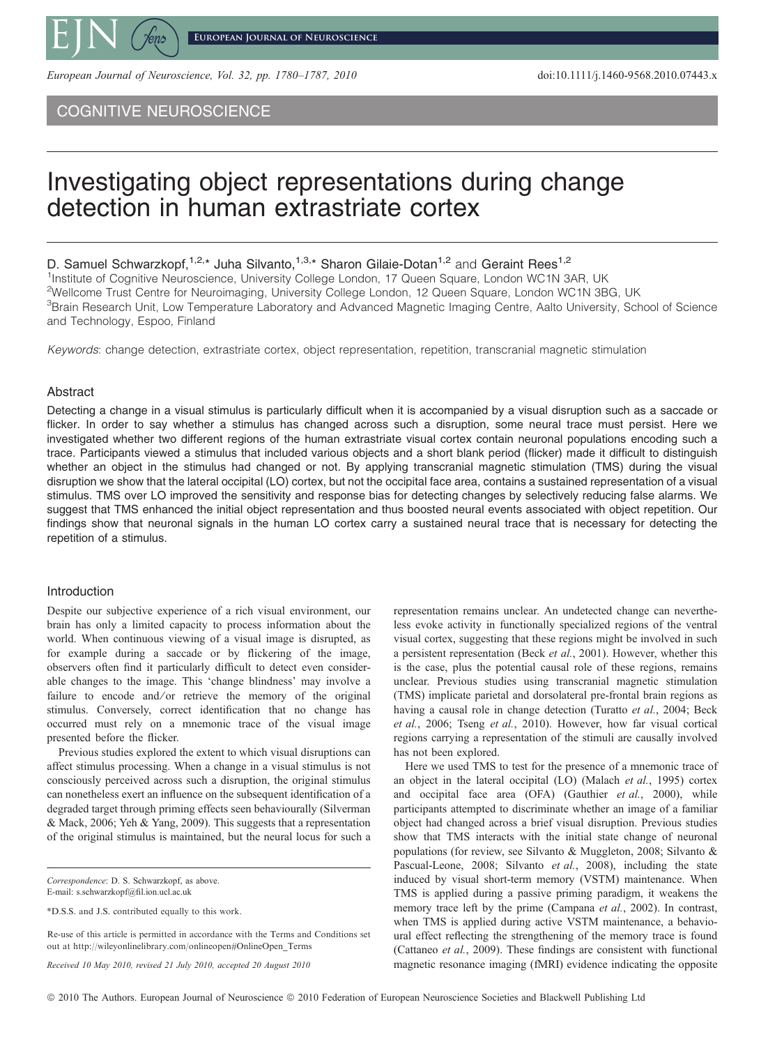

**European Journal of Neuroscience**

European Journal of Neuroscience, Vol. 32, pp. 1780–1787, 2010 doi:10.1111/j.1460-9568.2010.07443.x

## COGNITIVE NEUROSCIENCE

# Investigating object representations during change detection in human extrastriate cortex

D. Samuel Schwarzkopf,<sup>1,2,\*</sup> Juha Silvanto,<sup>1,3,\*</sup> Sharon Gilaie-Dotan<sup>1,2</sup> and Geraint Rees<sup>1,2</sup> <sup>1</sup>Institute of Cognitive Neuroscience, University College London, 17 Queen Square, London WC1N 3AR, UK <sup>2</sup>Wellcome Trust Centre for Neuroimaging, University College London, 12 Queen Square, London WC1N 3BG, UK <sup>3</sup>Brain Research Unit, Low Temperature Laboratory and Advanced Magnetic Imaging Centre, Aalto University, School of Science and Technology, Espoo, Finland

Keywords: change detection, extrastriate cortex, object representation, repetition, transcranial magnetic stimulation

## **Abstract**

Detecting a change in a visual stimulus is particularly difficult when it is accompanied by a visual disruption such as a saccade or flicker. In order to say whether a stimulus has changed across such a disruption, some neural trace must persist. Here we investigated whether two different regions of the human extrastriate visual cortex contain neuronal populations encoding such a trace. Participants viewed a stimulus that included various objects and a short blank period (flicker) made it difficult to distinguish whether an object in the stimulus had changed or not. By applying transcranial magnetic stimulation (TMS) during the visual disruption we show that the lateral occipital (LO) cortex, but not the occipital face area, contains a sustained representation of a visual stimulus. TMS over LO improved the sensitivity and response bias for detecting changes by selectively reducing false alarms. We suggest that TMS enhanced the initial object representation and thus boosted neural events associated with object repetition. Our findings show that neuronal signals in the human LO cortex carry a sustained neural trace that is necessary for detecting the repetition of a stimulus.

## Introduction

Despite our subjective experience of a rich visual environment, our brain has only a limited capacity to process information about the world. When continuous viewing of a visual image is disrupted, as for example during a saccade or by flickering of the image, observers often find it particularly difficult to detect even considerable changes to the image. This 'change blindness' may involve a failure to encode and/or retrieve the memory of the original stimulus. Conversely, correct identification that no change has occurred must rely on a mnemonic trace of the visual image presented before the flicker.

Previous studies explored the extent to which visual disruptions can affect stimulus processing. When a change in a visual stimulus is not consciously perceived across such a disruption, the original stimulus can nonetheless exert an influence on the subsequent identification of a degraded target through priming effects seen behaviourally (Silverman & Mack, 2006; Yeh & Yang, 2009). This suggests that a representation of the original stimulus is maintained, but the neural locus for such a

Correspondence: D. S. Schwarzkopf, as above. E-mail: s.schwarzkopf@fil.ion.ucl.ac.uk

\*D.S.S. and J.S. contributed equally to this work.

Re-use of this article is permitted in accordance with the Terms and Conditions set out at http://wileyonlinelibrary.com/onlineopen#OnlineOpen\_Terms

Received 10 May 2010, revised 21 July 2010, accepted 20 August 2010

representation remains unclear. An undetected change can nevertheless evoke activity in functionally specialized regions of the ventral visual cortex, suggesting that these regions might be involved in such a persistent representation (Beck et al., 2001). However, whether this is the case, plus the potential causal role of these regions, remains unclear. Previous studies using transcranial magnetic stimulation (TMS) implicate parietal and dorsolateral pre-frontal brain regions as having a causal role in change detection (Turatto et al., 2004; Beck et al., 2006; Tseng et al., 2010). However, how far visual cortical regions carrying a representation of the stimuli are causally involved has not been explored.

Here we used TMS to test for the presence of a mnemonic trace of an object in the lateral occipital (LO) (Malach et al., 1995) cortex and occipital face area (OFA) (Gauthier et al., 2000), while participants attempted to discriminate whether an image of a familiar object had changed across a brief visual disruption. Previous studies show that TMS interacts with the initial state change of neuronal populations (for review, see Silvanto & Muggleton, 2008; Silvanto & Pascual-Leone, 2008; Silvanto et al., 2008), including the state induced by visual short-term memory (VSTM) maintenance. When TMS is applied during a passive priming paradigm, it weakens the memory trace left by the prime (Campana et al., 2002). In contrast, when TMS is applied during active VSTM maintenance, a behavioural effect reflecting the strengthening of the memory trace is found (Cattaneo et al., 2009). These findings are consistent with functional magnetic resonance imaging (fMRI) evidence indicating the opposite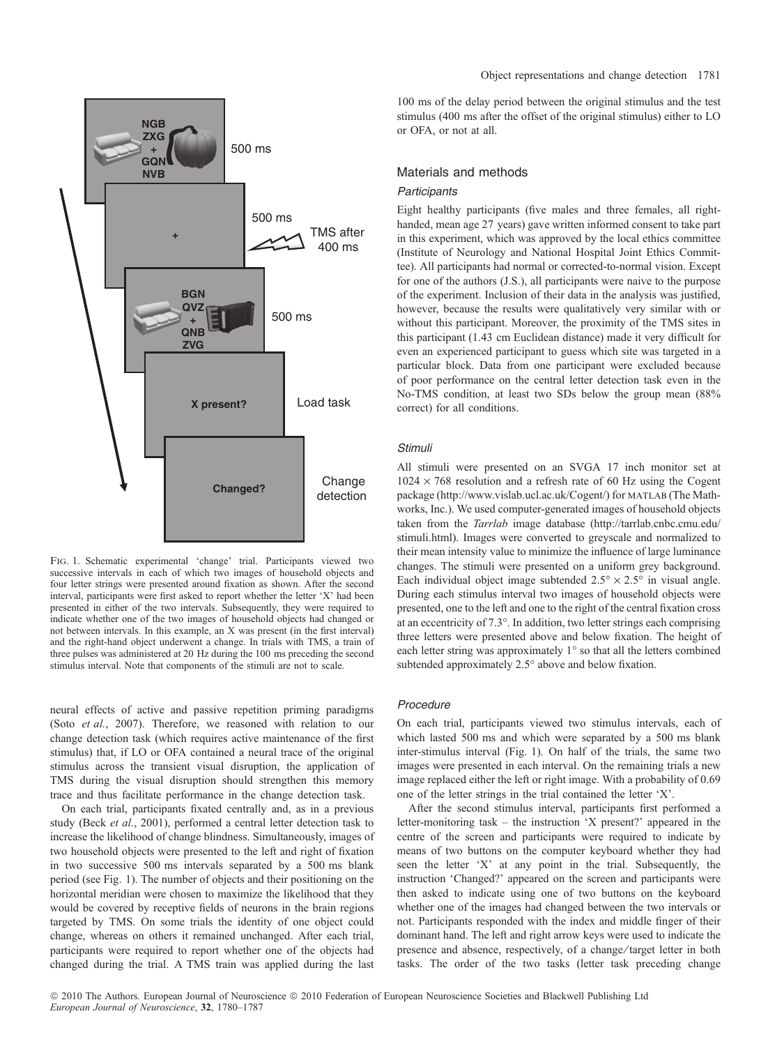

Fig. 1. Schematic experimental 'change' trial. Participants viewed two successive intervals in each of which two images of household objects and four letter strings were presented around fixation as shown. After the second interval, participants were first asked to report whether the letter 'X' had been presented in either of the two intervals. Subsequently, they were required to indicate whether one of the two images of household objects had changed or not between intervals. In this example, an X was present (in the first interval) and the right-hand object underwent a change. In trials with TMS, a train of three pulses was administered at 20 Hz during the 100 ms preceding the second stimulus interval. Note that components of the stimuli are not to scale.

neural effects of active and passive repetition priming paradigms (Soto et al., 2007). Therefore, we reasoned with relation to our change detection task (which requires active maintenance of the first stimulus) that, if LO or OFA contained a neural trace of the original stimulus across the transient visual disruption, the application of TMS during the visual disruption should strengthen this memory trace and thus facilitate performance in the change detection task.

On each trial, participants fixated centrally and, as in a previous study (Beck et al., 2001), performed a central letter detection task to increase the likelihood of change blindness. Simultaneously, images of two household objects were presented to the left and right of fixation in two successive 500 ms intervals separated by a 500 ms blank period (see Fig. 1). The number of objects and their positioning on the horizontal meridian were chosen to maximize the likelihood that they would be covered by receptive fields of neurons in the brain regions targeted by TMS. On some trials the identity of one object could change, whereas on others it remained unchanged. After each trial, participants were required to report whether one of the objects had changed during the trial. A TMS train was applied during the last 100 ms of the delay period between the original stimulus and the test stimulus (400 ms after the offset of the original stimulus) either to LO or OFA, or not at all.

## Materials and methods

## **Participants**

Eight healthy participants (five males and three females, all righthanded, mean age 27 years) gave written informed consent to take part in this experiment, which was approved by the local ethics committee (Institute of Neurology and National Hospital Joint Ethics Committee). All participants had normal or corrected-to-normal vision. Except for one of the authors (J.S.), all participants were naive to the purpose of the experiment. Inclusion of their data in the analysis was justified, however, because the results were qualitatively very similar with or without this participant. Moreover, the proximity of the TMS sites in this participant (1.43 cm Euclidean distance) made it very difficult for even an experienced participant to guess which site was targeted in a particular block. Data from one participant were excluded because of poor performance on the central letter detection task even in the No-TMS condition, at least two SDs below the group mean (88% correct) for all conditions.

## **Stimuli**

All stimuli were presented on an SVGA 17 inch monitor set at  $1024 \times 768$  resolution and a refresh rate of 60 Hz using the Cogent package (http://www.vislab.ucl.ac.uk/Cogent/) for MATLAB (The Mathworks, Inc.). We used computer-generated images of household objects taken from the Tarrlab image database (http://tarrlab.cnbc.cmu.edu/ stimuli.html). Images were converted to greyscale and normalized to their mean intensity value to minimize the influence of large luminance changes. The stimuli were presented on a uniform grey background. Each individual object image subtended  $2.5^{\circ} \times 2.5^{\circ}$  in visual angle. During each stimulus interval two images of household objects were presented, one to the left and one to the right of the central fixation cross at an eccentricity of 7.3°. In addition, two letter strings each comprising three letters were presented above and below fixation. The height of each letter string was approximately  $1^{\circ}$  so that all the letters combined subtended approximately  $2.5^{\circ}$  above and below fixation.

#### Procedure

On each trial, participants viewed two stimulus intervals, each of which lasted 500 ms and which were separated by a 500 ms blank inter-stimulus interval (Fig. 1). On half of the trials, the same two images were presented in each interval. On the remaining trials a new image replaced either the left or right image. With a probability of 0.69 one of the letter strings in the trial contained the letter 'X'.

After the second stimulus interval, participants first performed a letter-monitoring task – the instruction 'X present?' appeared in the centre of the screen and participants were required to indicate by means of two buttons on the computer keyboard whether they had seen the letter 'X' at any point in the trial. Subsequently, the instruction 'Changed?' appeared on the screen and participants were then asked to indicate using one of two buttons on the keyboard whether one of the images had changed between the two intervals or not. Participants responded with the index and middle finger of their dominant hand. The left and right arrow keys were used to indicate the presence and absence, respectively, of a change ⁄ target letter in both tasks. The order of the two tasks (letter task preceding change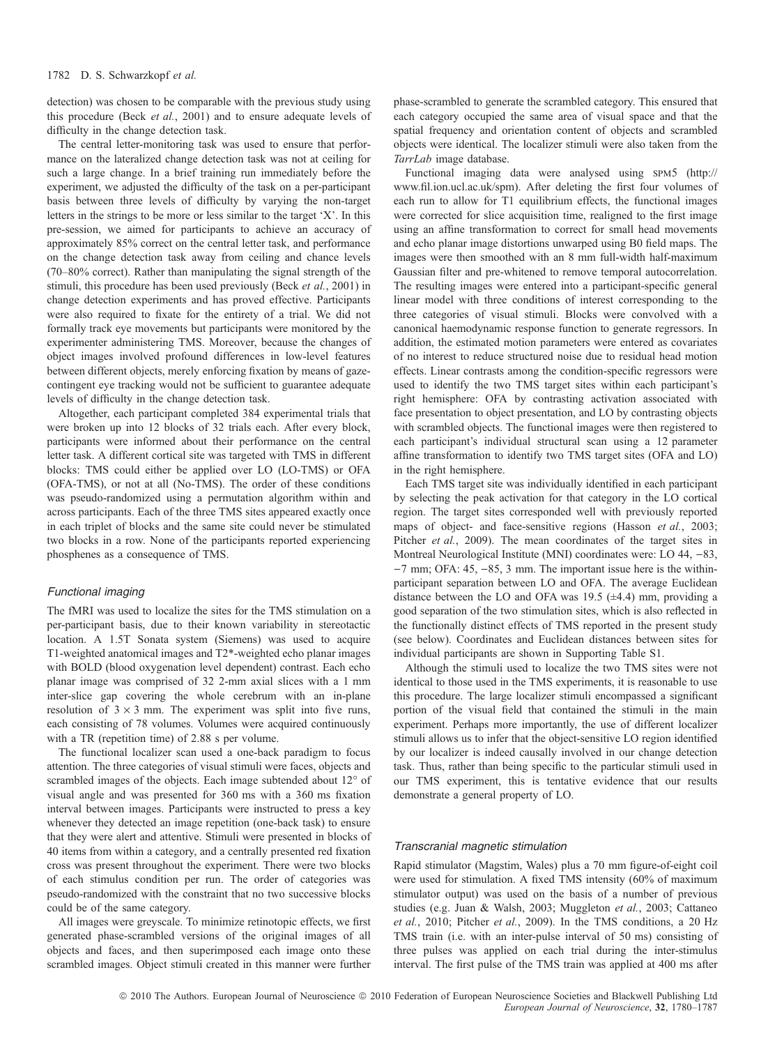detection) was chosen to be comparable with the previous study using this procedure (Beck et al., 2001) and to ensure adequate levels of difficulty in the change detection task.

The central letter-monitoring task was used to ensure that performance on the lateralized change detection task was not at ceiling for such a large change. In a brief training run immediately before the experiment, we adjusted the difficulty of the task on a per-participant basis between three levels of difficulty by varying the non-target letters in the strings to be more or less similar to the target  $X'$ . In this pre-session, we aimed for participants to achieve an accuracy of approximately 85% correct on the central letter task, and performance on the change detection task away from ceiling and chance levels (70–80% correct). Rather than manipulating the signal strength of the stimuli, this procedure has been used previously (Beck et al., 2001) in change detection experiments and has proved effective. Participants were also required to fixate for the entirety of a trial. We did not formally track eye movements but participants were monitored by the experimenter administering TMS. Moreover, because the changes of object images involved profound differences in low-level features between different objects, merely enforcing fixation by means of gazecontingent eye tracking would not be sufficient to guarantee adequate levels of difficulty in the change detection task.

Altogether, each participant completed 384 experimental trials that were broken up into 12 blocks of 32 trials each. After every block, participants were informed about their performance on the central letter task. A different cortical site was targeted with TMS in different blocks: TMS could either be applied over LO (LO-TMS) or OFA (OFA-TMS), or not at all (No-TMS). The order of these conditions was pseudo-randomized using a permutation algorithm within and across participants. Each of the three TMS sites appeared exactly once in each triplet of blocks and the same site could never be stimulated two blocks in a row. None of the participants reported experiencing phosphenes as a consequence of TMS.

## Functional imaging

The fMRI was used to localize the sites for the TMS stimulation on a per-participant basis, due to their known variability in stereotactic location. A 1.5T Sonata system (Siemens) was used to acquire T1-weighted anatomical images and T2\*-weighted echo planar images with BOLD (blood oxygenation level dependent) contrast. Each echo planar image was comprised of 32 2-mm axial slices with a 1 mm inter-slice gap covering the whole cerebrum with an in-plane resolution of  $3 \times 3$  mm. The experiment was split into five runs, each consisting of 78 volumes. Volumes were acquired continuously with a TR (repetition time) of 2.88 s per volume.

The functional localizer scan used a one-back paradigm to focus attention. The three categories of visual stimuli were faces, objects and scrambled images of the objects. Each image subtended about  $12^{\circ}$  of visual angle and was presented for 360 ms with a 360 ms fixation interval between images. Participants were instructed to press a key whenever they detected an image repetition (one-back task) to ensure that they were alert and attentive. Stimuli were presented in blocks of 40 items from within a category, and a centrally presented red fixation cross was present throughout the experiment. There were two blocks of each stimulus condition per run. The order of categories was pseudo-randomized with the constraint that no two successive blocks could be of the same category.

All images were greyscale. To minimize retinotopic effects, we first generated phase-scrambled versions of the original images of all objects and faces, and then superimposed each image onto these scrambled images. Object stimuli created in this manner were further phase-scrambled to generate the scrambled category. This ensured that each category occupied the same area of visual space and that the spatial frequency and orientation content of objects and scrambled objects were identical. The localizer stimuli were also taken from the TarrLab image database.

Functional imaging data were analysed using spm5 (http:// www.fil.ion.ucl.ac.uk/spm). After deleting the first four volumes of each run to allow for T1 equilibrium effects, the functional images were corrected for slice acquisition time, realigned to the first image using an affine transformation to correct for small head movements and echo planar image distortions unwarped using B0 field maps. The images were then smoothed with an 8 mm full-width half-maximum Gaussian filter and pre-whitened to remove temporal autocorrelation. The resulting images were entered into a participant-specific general linear model with three conditions of interest corresponding to the three categories of visual stimuli. Blocks were convolved with a canonical haemodynamic response function to generate regressors. In addition, the estimated motion parameters were entered as covariates of no interest to reduce structured noise due to residual head motion effects. Linear contrasts among the condition-specific regressors were used to identify the two TMS target sites within each participant's right hemisphere: OFA by contrasting activation associated with face presentation to object presentation, and LO by contrasting objects with scrambled objects. The functional images were then registered to each participant's individual structural scan using a 12 parameter affine transformation to identify two TMS target sites (OFA and LO) in the right hemisphere.

Each TMS target site was individually identified in each participant by selecting the peak activation for that category in the LO cortical region. The target sites corresponded well with previously reported maps of object- and face-sensitive regions (Hasson et al., 2003; Pitcher *et al.*, 2009). The mean coordinates of the target sites in Montreal Neurological Institute (MNI) coordinates were: LO  $44, -83,$  $-7$  mm; OFA: 45,  $-85$ , 3 mm. The important issue here is the withinparticipant separation between LO and OFA. The average Euclidean distance between the LO and OFA was 19.5 (±4.4) mm, providing a good separation of the two stimulation sites, which is also reflected in the functionally distinct effects of TMS reported in the present study (see below). Coordinates and Euclidean distances between sites for individual participants are shown in Supporting Table S1.

Although the stimuli used to localize the two TMS sites were not identical to those used in the TMS experiments, it is reasonable to use this procedure. The large localizer stimuli encompassed a significant portion of the visual field that contained the stimuli in the main experiment. Perhaps more importantly, the use of different localizer stimuli allows us to infer that the object-sensitive LO region identified by our localizer is indeed causally involved in our change detection task. Thus, rather than being specific to the particular stimuli used in our TMS experiment, this is tentative evidence that our results demonstrate a general property of LO.

#### Transcranial magnetic stimulation

Rapid stimulator (Magstim, Wales) plus a 70 mm figure-of-eight coil were used for stimulation. A fixed TMS intensity (60% of maximum stimulator output) was used on the basis of a number of previous studies (e.g. Juan & Walsh, 2003; Muggleton et al., 2003; Cattaneo et al., 2010; Pitcher et al., 2009). In the TMS conditions, a 20 Hz TMS train (i.e. with an inter-pulse interval of 50 ms) consisting of three pulses was applied on each trial during the inter-stimulus interval. The first pulse of the TMS train was applied at 400 ms after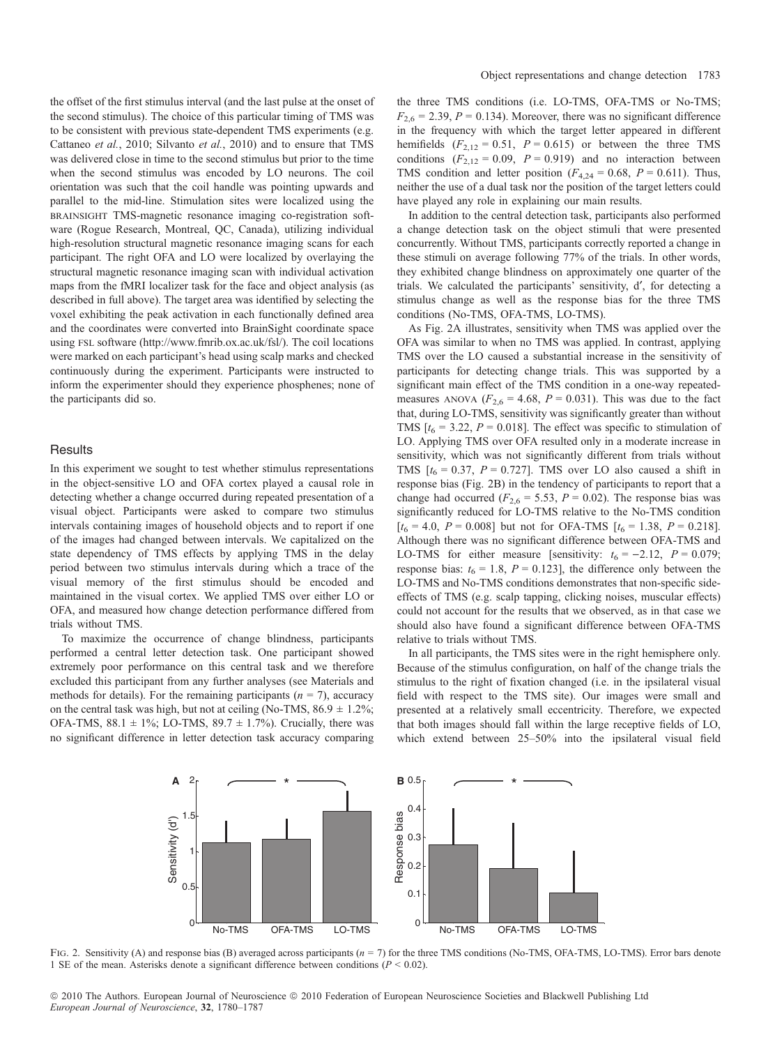the offset of the first stimulus interval (and the last pulse at the onset of the second stimulus). The choice of this particular timing of TMS was to be consistent with previous state-dependent TMS experiments (e.g. Cattaneo et al., 2010; Silvanto et al., 2010) and to ensure that TMS was delivered close in time to the second stimulus but prior to the time when the second stimulus was encoded by LO neurons. The coil orientation was such that the coil handle was pointing upwards and parallel to the mid-line. Stimulation sites were localized using the brainsight TMS-magnetic resonance imaging co-registration software (Rogue Research, Montreal, QC, Canada), utilizing individual high-resolution structural magnetic resonance imaging scans for each participant. The right OFA and LO were localized by overlaying the structural magnetic resonance imaging scan with individual activation maps from the fMRI localizer task for the face and object analysis (as described in full above). The target area was identified by selecting the voxel exhibiting the peak activation in each functionally defined area and the coordinates were converted into BrainSight coordinate space using fsl software (http://www.fmrib.ox.ac.uk/fsl/). The coil locations were marked on each participant's head using scalp marks and checked continuously during the experiment. Participants were instructed to inform the experimenter should they experience phosphenes; none of the participants did so.

#### **Results**

In this experiment we sought to test whether stimulus representations in the object-sensitive LO and OFA cortex played a causal role in detecting whether a change occurred during repeated presentation of a visual object. Participants were asked to compare two stimulus intervals containing images of household objects and to report if one of the images had changed between intervals. We capitalized on the state dependency of TMS effects by applying TMS in the delay period between two stimulus intervals during which a trace of the visual memory of the first stimulus should be encoded and maintained in the visual cortex. We applied TMS over either LO or OFA, and measured how change detection performance differed from trials without TMS.

To maximize the occurrence of change blindness, participants performed a central letter detection task. One participant showed extremely poor performance on this central task and we therefore excluded this participant from any further analyses (see Materials and methods for details). For the remaining participants ( $n = 7$ ), accuracy on the central task was high, but not at ceiling (No-TMS,  $86.9 \pm 1.2\%$ ; OFA-TMS,  $88.1 \pm 1\%$ ; LO-TMS,  $89.7 \pm 1.7\%$ ). Crucially, there was no significant difference in letter detection task accuracy comparing

the three TMS conditions (i.e. LO-TMS, OFA-TMS or No-TMS;  $F_{2,6} = 2.39, P = 0.134$ ). Moreover, there was no significant difference in the frequency with which the target letter appeared in different hemifields  $(F_{2,12} = 0.51, P = 0.615)$  or between the three TMS conditions  $(F_{2,12} = 0.09, P = 0.919)$  and no interaction between TMS condition and letter position ( $F_{4,24} = 0.68$ ,  $P = 0.611$ ). Thus, neither the use of a dual task nor the position of the target letters could have played any role in explaining our main results.

In addition to the central detection task, participants also performed a change detection task on the object stimuli that were presented concurrently. Without TMS, participants correctly reported a change in these stimuli on average following 77% of the trials. In other words, they exhibited change blindness on approximately one quarter of the trials. We calculated the participants' sensitivity, d', for detecting a stimulus change as well as the response bias for the three TMS conditions (No-TMS, OFA-TMS, LO-TMS).

As Fig. 2A illustrates, sensitivity when TMS was applied over the OFA was similar to when no TMS was applied. In contrast, applying TMS over the LO caused a substantial increase in the sensitivity of participants for detecting change trials. This was supported by a significant main effect of the TMS condition in a one-way repeatedmeasures ANOVA ( $F_{2,6}$  = 4.68,  $P = 0.031$ ). This was due to the fact that, during LO-TMS, sensitivity was significantly greater than without TMS  $[t_6 = 3.22, P = 0.018]$ . The effect was specific to stimulation of LO. Applying TMS over OFA resulted only in a moderate increase in sensitivity, which was not significantly different from trials without TMS  $[t<sub>6</sub> = 0.37, P = 0.727]$ . TMS over LO also caused a shift in response bias (Fig. 2B) in the tendency of participants to report that a change had occurred ( $F_{2,6} = 5.53$ ,  $P = 0.02$ ). The response bias was significantly reduced for LO-TMS relative to the No-TMS condition  $[t_6 = 4.0, P = 0.008]$  but not for OFA-TMS  $[t_6 = 1.38, P = 0.218]$ . Although there was no significant difference between OFA-TMS and LO-TMS for either measure [sensitivity:  $t_6 = -2.12$ ,  $P = 0.079$ ; response bias:  $t_6 = 1.8$ ,  $P = 0.123$ ], the difference only between the LO-TMS and No-TMS conditions demonstrates that non-specific sideeffects of TMS (e.g. scalp tapping, clicking noises, muscular effects) could not account for the results that we observed, as in that case we should also have found a significant difference between OFA-TMS relative to trials without TMS.

In all participants, the TMS sites were in the right hemisphere only. Because of the stimulus configuration, on half of the change trials the stimulus to the right of fixation changed (i.e. in the ipsilateral visual field with respect to the TMS site). Our images were small and presented at a relatively small eccentricity. Therefore, we expected that both images should fall within the large receptive fields of LO, which extend between 25–50% into the ipsilateral visual field



FIG. 2. Sensitivity (A) and response bias (B) averaged across participants ( $n = 7$ ) for the three TMS conditions (No-TMS, OFA-TMS, LO-TMS). Error bars denote 1 SE of the mean. Asterisks denote a significant difference between conditions ( $P < 0.02$ ).

ª 2010 The Authors. European Journal of Neuroscience ª 2010 Federation of European Neuroscience Societies and Blackwell Publishing Ltd European Journal of Neuroscience, 32, 1780–1787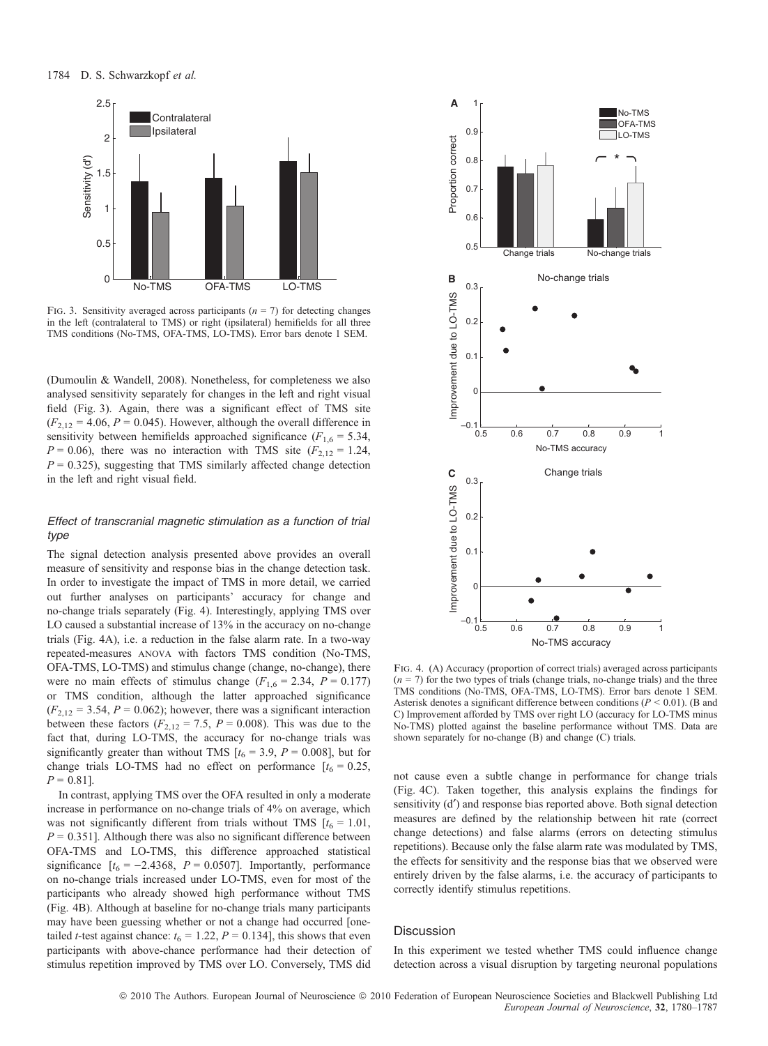

FIG. 3. Sensitivity averaged across participants ( $n = 7$ ) for detecting changes in the left (contralateral to TMS) or right (ipsilateral) hemifields for all three TMS conditions (No-TMS, OFA-TMS, LO-TMS). Error bars denote 1 SEM.

(Dumoulin & Wandell, 2008). Nonetheless, for completeness we also analysed sensitivity separately for changes in the left and right visual field (Fig. 3). Again, there was a significant effect of TMS site  $(F_{2,12} = 4.06, P = 0.045)$ . However, although the overall difference in sensitivity between hemifields approached significance  $(F_{1,6} = 5.34,$  $P = 0.06$ ), there was no interaction with TMS site  $(F_{2,12} = 1.24,$  $P = 0.325$ ), suggesting that TMS similarly affected change detection in the left and right visual field.

## Effect of transcranial magnetic stimulation as a function of trial type

The signal detection analysis presented above provides an overall measure of sensitivity and response bias in the change detection task. In order to investigate the impact of TMS in more detail, we carried out further analyses on participants' accuracy for change and no-change trials separately (Fig. 4). Interestingly, applying TMS over LO caused a substantial increase of 13% in the accuracy on no-change trials (Fig. 4A), i.e. a reduction in the false alarm rate. In a two-way repeated-measures anova with factors TMS condition (No-TMS, OFA-TMS, LO-TMS) and stimulus change (change, no-change), there were no main effects of stimulus change  $(F_{1,6} = 2.34, P = 0.177)$ or TMS condition, although the latter approached significance  $(F_{2,12} = 3.54, P = 0.062)$ ; however, there was a significant interaction between these factors ( $F_{2,12} = 7.5$ ,  $P = 0.008$ ). This was due to the fact that, during LO-TMS, the accuracy for no-change trials was significantly greater than without TMS  $[t<sub>6</sub> = 3.9, P = 0.008]$ , but for change trials LO-TMS had no effect on performance  $[t_6 = 0.25,$  $P = 0.81$ ].

In contrast, applying TMS over the OFA resulted in only a moderate increase in performance on no-change trials of 4% on average, which was not significantly different from trials without TMS  $[t<sub>6</sub> = 1.01]$ ,  $P = 0.351$ ]. Although there was also no significant difference between OFA-TMS and LO-TMS, this difference approached statistical significance  $[t_6 = -2.4368, P = 0.0507]$ . Importantly, performance on no-change trials increased under LO-TMS, even for most of the participants who already showed high performance without TMS (Fig. 4B). Although at baseline for no-change trials many participants may have been guessing whether or not a change had occurred [onetailed *t*-test against chance:  $t_6 = 1.22$ ,  $P = 0.134$ ], this shows that even participants with above-chance performance had their detection of stimulus repetition improved by TMS over LO. Conversely, TMS did



Fig. 4. (A) Accuracy (proportion of correct trials) averaged across participants  $(n = 7)$  for the two types of trials (change trials, no-change trials) and the three TMS conditions (No-TMS, OFA-TMS, LO-TMS). Error bars denote 1 SEM. Asterisk denotes a significant difference between conditions ( $P \le 0.01$ ). (B and C) Improvement afforded by TMS over right LO (accuracy for LO-TMS minus No-TMS) plotted against the baseline performance without TMS. Data are shown separately for no-change (B) and change (C) trials.

not cause even a subtle change in performance for change trials (Fig. 4C). Taken together, this analysis explains the findings for sensitivity (d') and response bias reported above. Both signal detection measures are defined by the relationship between hit rate (correct change detections) and false alarms (errors on detecting stimulus repetitions). Because only the false alarm rate was modulated by TMS, the effects for sensitivity and the response bias that we observed were entirely driven by the false alarms, i.e. the accuracy of participants to correctly identify stimulus repetitions.

## Discussion

In this experiment we tested whether TMS could influence change detection across a visual disruption by targeting neuronal populations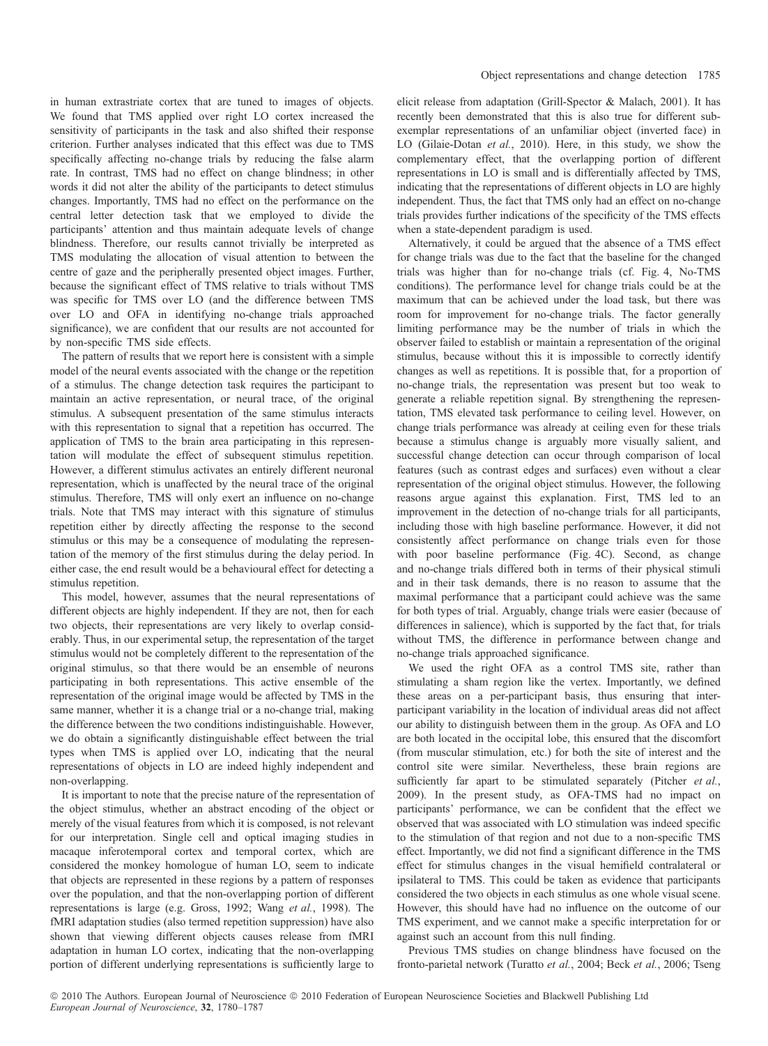in human extrastriate cortex that are tuned to images of objects. We found that TMS applied over right LO cortex increased the sensitivity of participants in the task and also shifted their response criterion. Further analyses indicated that this effect was due to TMS specifically affecting no-change trials by reducing the false alarm rate. In contrast, TMS had no effect on change blindness; in other words it did not alter the ability of the participants to detect stimulus changes. Importantly, TMS had no effect on the performance on the central letter detection task that we employed to divide the participants' attention and thus maintain adequate levels of change blindness. Therefore, our results cannot trivially be interpreted as TMS modulating the allocation of visual attention to between the centre of gaze and the peripherally presented object images. Further, because the significant effect of TMS relative to trials without TMS was specific for TMS over LO (and the difference between TMS over LO and OFA in identifying no-change trials approached significance), we are confident that our results are not accounted for by non-specific TMS side effects.

The pattern of results that we report here is consistent with a simple model of the neural events associated with the change or the repetition of a stimulus. The change detection task requires the participant to maintain an active representation, or neural trace, of the original stimulus. A subsequent presentation of the same stimulus interacts with this representation to signal that a repetition has occurred. The application of TMS to the brain area participating in this representation will modulate the effect of subsequent stimulus repetition. However, a different stimulus activates an entirely different neuronal representation, which is unaffected by the neural trace of the original stimulus. Therefore, TMS will only exert an influence on no-change trials. Note that TMS may interact with this signature of stimulus repetition either by directly affecting the response to the second stimulus or this may be a consequence of modulating the representation of the memory of the first stimulus during the delay period. In either case, the end result would be a behavioural effect for detecting a stimulus repetition.

This model, however, assumes that the neural representations of different objects are highly independent. If they are not, then for each two objects, their representations are very likely to overlap considerably. Thus, in our experimental setup, the representation of the target stimulus would not be completely different to the representation of the original stimulus, so that there would be an ensemble of neurons participating in both representations. This active ensemble of the representation of the original image would be affected by TMS in the same manner, whether it is a change trial or a no-change trial, making the difference between the two conditions indistinguishable. However, we do obtain a significantly distinguishable effect between the trial types when TMS is applied over LO, indicating that the neural representations of objects in LO are indeed highly independent and non-overlapping.

It is important to note that the precise nature of the representation of the object stimulus, whether an abstract encoding of the object or merely of the visual features from which it is composed, is not relevant for our interpretation. Single cell and optical imaging studies in macaque inferotemporal cortex and temporal cortex, which are considered the monkey homologue of human LO, seem to indicate that objects are represented in these regions by a pattern of responses over the population, and that the non-overlapping portion of different representations is large (e.g. Gross, 1992; Wang et al., 1998). The fMRI adaptation studies (also termed repetition suppression) have also shown that viewing different objects causes release from fMRI adaptation in human LO cortex, indicating that the non-overlapping portion of different underlying representations is sufficiently large to elicit release from adaptation (Grill-Spector & Malach, 2001). It has recently been demonstrated that this is also true for different subexemplar representations of an unfamiliar object (inverted face) in LO (Gilaie-Dotan et al., 2010). Here, in this study, we show the complementary effect, that the overlapping portion of different representations in LO is small and is differentially affected by TMS, indicating that the representations of different objects in LO are highly independent. Thus, the fact that TMS only had an effect on no-change trials provides further indications of the specificity of the TMS effects when a state-dependent paradigm is used.

Alternatively, it could be argued that the absence of a TMS effect for change trials was due to the fact that the baseline for the changed trials was higher than for no-change trials (cf. Fig. 4, No-TMS conditions). The performance level for change trials could be at the maximum that can be achieved under the load task, but there was room for improvement for no-change trials. The factor generally limiting performance may be the number of trials in which the observer failed to establish or maintain a representation of the original stimulus, because without this it is impossible to correctly identify changes as well as repetitions. It is possible that, for a proportion of no-change trials, the representation was present but too weak to generate a reliable repetition signal. By strengthening the representation, TMS elevated task performance to ceiling level. However, on change trials performance was already at ceiling even for these trials because a stimulus change is arguably more visually salient, and successful change detection can occur through comparison of local features (such as contrast edges and surfaces) even without a clear representation of the original object stimulus. However, the following reasons argue against this explanation. First, TMS led to an improvement in the detection of no-change trials for all participants, including those with high baseline performance. However, it did not consistently affect performance on change trials even for those with poor baseline performance (Fig. 4C). Second, as change and no-change trials differed both in terms of their physical stimuli and in their task demands, there is no reason to assume that the maximal performance that a participant could achieve was the same for both types of trial. Arguably, change trials were easier (because of differences in salience), which is supported by the fact that, for trials without TMS, the difference in performance between change and no-change trials approached significance.

We used the right OFA as a control TMS site, rather than stimulating a sham region like the vertex. Importantly, we defined these areas on a per-participant basis, thus ensuring that interparticipant variability in the location of individual areas did not affect our ability to distinguish between them in the group. As OFA and LO are both located in the occipital lobe, this ensured that the discomfort (from muscular stimulation, etc.) for both the site of interest and the control site were similar. Nevertheless, these brain regions are sufficiently far apart to be stimulated separately (Pitcher et al., 2009). In the present study, as OFA-TMS had no impact on participants' performance, we can be confident that the effect we observed that was associated with LO stimulation was indeed specific to the stimulation of that region and not due to a non-specific TMS effect. Importantly, we did not find a significant difference in the TMS effect for stimulus changes in the visual hemifield contralateral or ipsilateral to TMS. This could be taken as evidence that participants considered the two objects in each stimulus as one whole visual scene. However, this should have had no influence on the outcome of our TMS experiment, and we cannot make a specific interpretation for or against such an account from this null finding.

Previous TMS studies on change blindness have focused on the fronto-parietal network (Turatto et al., 2004; Beck et al., 2006; Tseng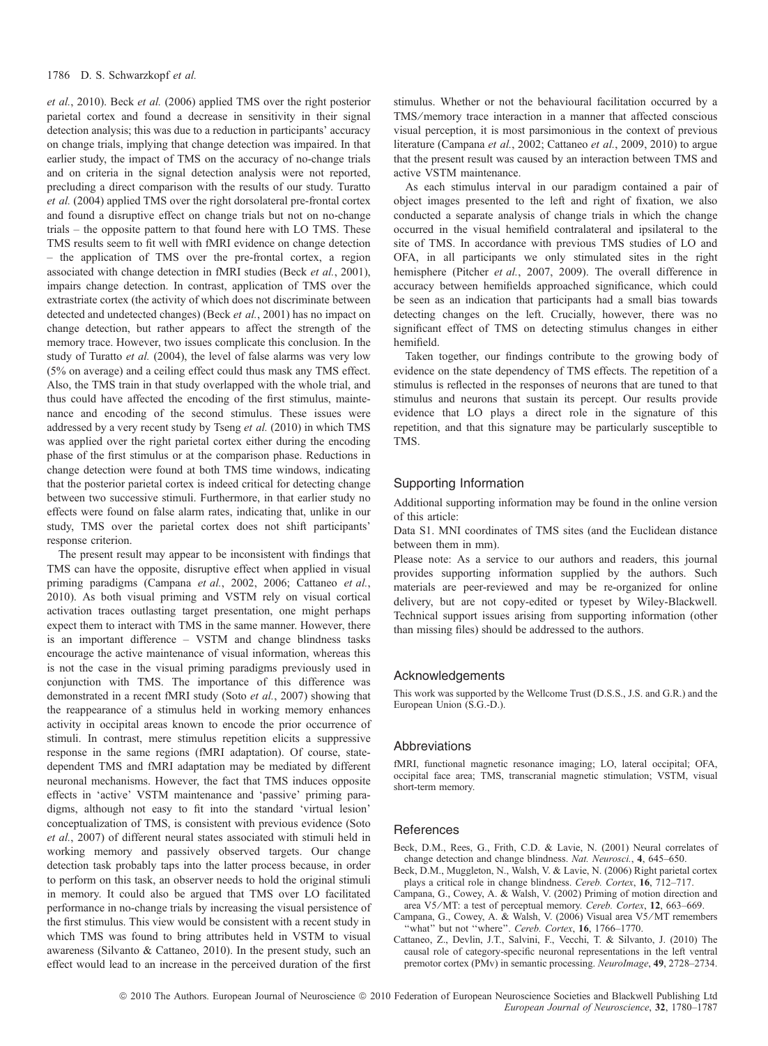#### 1786 D. S. Schwarzkopf et al.

et al., 2010). Beck et al. (2006) applied TMS over the right posterior parietal cortex and found a decrease in sensitivity in their signal detection analysis; this was due to a reduction in participants' accuracy on change trials, implying that change detection was impaired. In that earlier study, the impact of TMS on the accuracy of no-change trials and on criteria in the signal detection analysis were not reported, precluding a direct comparison with the results of our study. Turatto et al. (2004) applied TMS over the right dorsolateral pre-frontal cortex and found a disruptive effect on change trials but not on no-change trials – the opposite pattern to that found here with LO TMS. These TMS results seem to fit well with fMRI evidence on change detection – the application of TMS over the pre-frontal cortex, a region associated with change detection in fMRI studies (Beck et al., 2001), impairs change detection. In contrast, application of TMS over the extrastriate cortex (the activity of which does not discriminate between detected and undetected changes) (Beck et al., 2001) has no impact on change detection, but rather appears to affect the strength of the memory trace. However, two issues complicate this conclusion. In the study of Turatto et al. (2004), the level of false alarms was very low (5% on average) and a ceiling effect could thus mask any TMS effect. Also, the TMS train in that study overlapped with the whole trial, and thus could have affected the encoding of the first stimulus, maintenance and encoding of the second stimulus. These issues were addressed by a very recent study by Tseng et al. (2010) in which TMS was applied over the right parietal cortex either during the encoding phase of the first stimulus or at the comparison phase. Reductions in change detection were found at both TMS time windows, indicating that the posterior parietal cortex is indeed critical for detecting change between two successive stimuli. Furthermore, in that earlier study no effects were found on false alarm rates, indicating that, unlike in our study, TMS over the parietal cortex does not shift participants' response criterion.

The present result may appear to be inconsistent with findings that TMS can have the opposite, disruptive effect when applied in visual priming paradigms (Campana et al., 2002, 2006; Cattaneo et al., 2010). As both visual priming and VSTM rely on visual cortical activation traces outlasting target presentation, one might perhaps expect them to interact with TMS in the same manner. However, there is an important difference – VSTM and change blindness tasks encourage the active maintenance of visual information, whereas this is not the case in the visual priming paradigms previously used in conjunction with TMS. The importance of this difference was demonstrated in a recent fMRI study (Soto et al., 2007) showing that the reappearance of a stimulus held in working memory enhances activity in occipital areas known to encode the prior occurrence of stimuli. In contrast, mere stimulus repetition elicits a suppressive response in the same regions (fMRI adaptation). Of course, statedependent TMS and fMRI adaptation may be mediated by different neuronal mechanisms. However, the fact that TMS induces opposite effects in 'active' VSTM maintenance and 'passive' priming paradigms, although not easy to fit into the standard 'virtual lesion' conceptualization of TMS, is consistent with previous evidence (Soto et al., 2007) of different neural states associated with stimuli held in working memory and passively observed targets. Our change detection task probably taps into the latter process because, in order to perform on this task, an observer needs to hold the original stimuli in memory. It could also be argued that TMS over LO facilitated performance in no-change trials by increasing the visual persistence of the first stimulus. This view would be consistent with a recent study in which TMS was found to bring attributes held in VSTM to visual awareness (Silvanto & Cattaneo, 2010). In the present study, such an effect would lead to an increase in the perceived duration of the first

stimulus. Whether or not the behavioural facilitation occurred by a TMS/memory trace interaction in a manner that affected conscious visual perception, it is most parsimonious in the context of previous literature (Campana et al., 2002; Cattaneo et al., 2009, 2010) to argue that the present result was caused by an interaction between TMS and active VSTM maintenance.

As each stimulus interval in our paradigm contained a pair of object images presented to the left and right of fixation, we also conducted a separate analysis of change trials in which the change occurred in the visual hemifield contralateral and ipsilateral to the site of TMS. In accordance with previous TMS studies of LO and OFA, in all participants we only stimulated sites in the right hemisphere (Pitcher et al., 2007, 2009). The overall difference in accuracy between hemifields approached significance, which could be seen as an indication that participants had a small bias towards detecting changes on the left. Crucially, however, there was no significant effect of TMS on detecting stimulus changes in either hemifield.

Taken together, our findings contribute to the growing body of evidence on the state dependency of TMS effects. The repetition of a stimulus is reflected in the responses of neurons that are tuned to that stimulus and neurons that sustain its percept. Our results provide evidence that LO plays a direct role in the signature of this repetition, and that this signature may be particularly susceptible to TMS.

## Supporting Information

Additional supporting information may be found in the online version of this article:

Data S1. MNI coordinates of TMS sites (and the Euclidean distance between them in mm).

Please note: As a service to our authors and readers, this journal provides supporting information supplied by the authors. Such materials are peer-reviewed and may be re-organized for online delivery, but are not copy-edited or typeset by Wiley-Blackwell. Technical support issues arising from supporting information (other than missing files) should be addressed to the authors.

## Acknowledgements

This work was supported by the Wellcome Trust (D.S.S., J.S. and G.R.) and the European Union (S.G.-D.).

## Abbreviations

fMRI, functional magnetic resonance imaging; LO, lateral occipital; OFA, occipital face area; TMS, transcranial magnetic stimulation; VSTM, visual short-term memory.

#### References

- Beck, D.M., Rees, G., Frith, C.D. & Lavie, N. (2001) Neural correlates of change detection and change blindness. Nat. Neurosci., 4, 645–650.
- Beck, D.M., Muggleton, N., Walsh, V. & Lavie, N. (2006) Right parietal cortex plays a critical role in change blindness. Cereb. Cortex, 16, 712–717.
- Campana, G., Cowey, A. & Walsh, V. (2002) Priming of motion direction and area V5/MT: a test of perceptual memory. Cereb. Cortex, 12, 663-669.
- Campana, G., Cowey, A. & Walsh, V. (2006) Visual area V5 ⁄ MT remembers 'what" but not "where". Cereb. Cortex, 16, 1766–1770.
- Cattaneo, Z., Devlin, J.T., Salvini, F., Vecchi, T. & Silvanto, J. (2010) The causal role of category-specific neuronal representations in the left ventral premotor cortex (PMv) in semantic processing. NeuroImage, 49, 2728–2734.